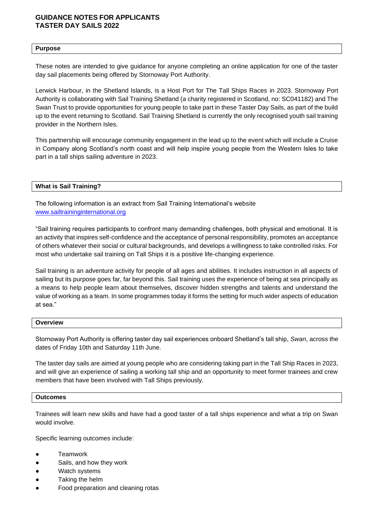## **GUIDANCE NOTES FOR APPLICANTS TASTER DAY SAILS 2022**

#### **Purpose**

These notes are intended to give guidance for anyone completing an online application for one of the taster day sail placements being offered by Stornoway Port Authority.

Lerwick Harbour, in the Shetland Islands, is a Host Port for The Tall Ships Races in 2023. Stornoway Port Authority is collaborating with Sail Training Shetland (a charity registered in Scotland, no: SC041182) and The Swan Trust to provide opportunities for young people to take part in these Taster Day Sails, as part of the build up to the event returning to Scotland. Sail Training Shetland is currently the only recognised youth sail training provider in the Northern Isles.

This partnership will encourage community engagement in the lead up to the event which will include a Cruise in Company along Scotland's north coast and will help inspire young people from the Western Isles to take part in a tall ships sailing adventure in 2023.

**What is Sail Training?** 

The following information is an extract from Sail Training International's website [www.sailtraininginternational.org](http://www.sailtraininginternational.org/) 

"Sail training requires participants to confront many demanding challenges, both physical and emotional. It is an activity that inspires self-confidence and the acceptance of personal responsibility, promotes an acceptance of others whatever their social or cultural backgrounds, and develops a willingness to take controlled risks. For most who undertake sail training on Tall Ships it is a positive life-changing experience.

Sail training is an adventure activity for people of all ages and abilities. It includes instruction in all aspects of sailing but its purpose goes far, far beyond this. Sail training uses the experience of being at sea principally as a means to help people learn about themselves, discover hidden strengths and talents and understand the value of working as a team. In some programmes today it forms the setting for much wider aspects of education at sea."

#### **Overview**

Stornoway Port Authority is offering taster day sail experiences onboard Shetland's tall ship, *Swan*, across the dates of Friday 10th and Saturday 11th June.

The taster day sails are aimed at young people who are considering taking part in the Tall Ship Races in 2023, and will give an experience of sailing a working tall ship and an opportunity to meet former trainees and crew members that have been involved with Tall Ships previously.

#### **Outcomes**

Trainees will learn new skills and have had a good taster of a tall ships experience and what a trip on Swan would involve.

Specific learning outcomes include:

- **Teamwork**
- Sails, and how they work
- Watch systems
- Taking the helm
- Food preparation and cleaning rotas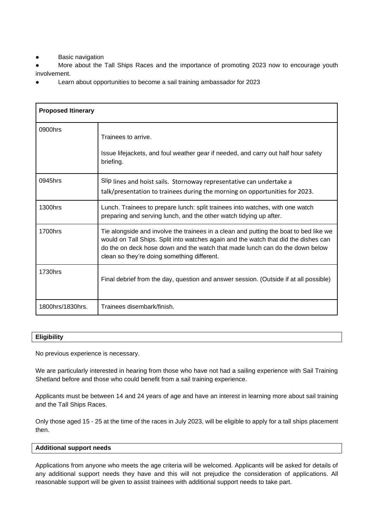**Basic navigation** 

More about the Tall Ships Races and the importance of promoting 2023 now to encourage youth involvement.

Learn about opportunities to become a sail training ambassador for 2023

| <b>Proposed Itinerary</b> |                                                                                                                                                                                                                                                                                                             |
|---------------------------|-------------------------------------------------------------------------------------------------------------------------------------------------------------------------------------------------------------------------------------------------------------------------------------------------------------|
| 0900hrs                   | Trainees to arrive.<br>Issue lifejackets, and foul weather gear if needed, and carry out half hour safety<br>briefing.                                                                                                                                                                                      |
| 0945hrs                   | Slip lines and hoist sails. Stornoway representative can undertake a<br>talk/presentation to trainees during the morning on opportunities for 2023.                                                                                                                                                         |
| 1300hrs                   | Lunch. Trainees to prepare lunch: split trainees into watches, with one watch<br>preparing and serving lunch, and the other watch tidying up after.                                                                                                                                                         |
| 1700hrs                   | Tie alongside and involve the trainees in a clean and putting the boat to bed like we<br>would on Tall Ships. Split into watches again and the watch that did the dishes can<br>do the on deck hose down and the watch that made lunch can do the down below<br>clean so they're doing something different. |
| 1730hrs                   | Final debrief from the day, question and answer session. (Outside if at all possible)                                                                                                                                                                                                                       |
| 1800hrs/1830hrs.          | Trainees disembark/finish.                                                                                                                                                                                                                                                                                  |

# **Eligibility**

No previous experience is necessary.

We are particularly interested in hearing from those who have not had a sailing experience with Sail Training Shetland before and those who could benefit from a sail training experience.

Applicants must be between 14 and 24 years of age and have an interest in learning more about sail training and the Tall Ships Races.

Only those aged 15 - 25 at the time of the races in July 2023, will be eligible to apply for a tall ships placement then.

#### **Additional support needs**

Applications from anyone who meets the age criteria will be welcomed. Applicants will be asked for details of any additional support needs they have and this will not prejudice the consideration of applications. All reasonable support will be given to assist trainees with additional support needs to take part.